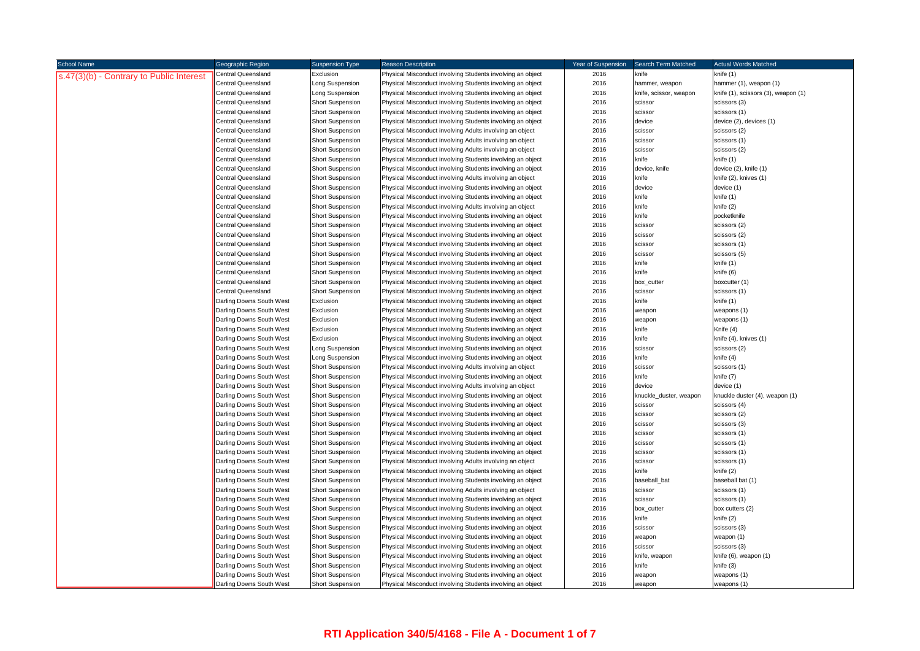| School Name                              | Geographic Region         | <b>Suspension Type</b>  | <b>Reason Description</b>                                  | Year of Suspension | Search Term Matched    | <b>Actual Words Matched</b>         |
|------------------------------------------|---------------------------|-------------------------|------------------------------------------------------------|--------------------|------------------------|-------------------------------------|
| s.47(3)(b) - Contrary to Public Interest | Central Queensland        | Exclusion               | Physical Misconduct involving Students involving an object | 2016               | knife                  | knife (1)                           |
|                                          | Central Queensland        | Long Suspension         | Physical Misconduct involving Students involving an object | 2016               | hammer, weapon         | hammer (1), weapon (1)              |
|                                          | Central Queensland        | ong Suspension          | Physical Misconduct involving Students involving an object | 2016               | knife, scissor, weapon | knife (1), scissors (3), weapon (1) |
|                                          | Central Queensland        | Short Suspension        | Physical Misconduct involving Students involving an object | 2016               | scissor                | scissors (3)                        |
|                                          | Central Queensland        | <b>Short Suspension</b> | Physical Misconduct involving Students involving an object | 2016               | scissor                | scissors (1)                        |
|                                          | Central Queensland        | Short Suspension        | Physical Misconduct involving Students involving an object | 2016               | device                 | device (2), devices (1)             |
|                                          | Central Queensland        | <b>Short Suspension</b> | Physical Misconduct involving Adults involving an object   | 2016               | scissor                | scissors (2)                        |
|                                          | Central Queensland        | <b>Short Suspension</b> | Physical Misconduct involving Adults involving an object   | 2016               | scissor                | scissors (1)                        |
|                                          | <b>Central Queensland</b> | Short Suspension        | Physical Misconduct involving Adults involving an object   | 2016               | scissor                | scissors (2)                        |
|                                          | Central Queensland        | <b>Short Suspension</b> | Physical Misconduct involving Students involving an object | 2016               | knife                  | knife (1)                           |
|                                          | Central Queensland        | <b>Short Suspension</b> | Physical Misconduct involving Students involving an object | 2016               | device, knife          | device (2), knife (1)               |
|                                          | Central Queensland        | Short Suspension        | Physical Misconduct involving Adults involving an object   | 2016               | knife                  | knife (2), knives (1)               |
|                                          | Central Queensland        | <b>Short Suspension</b> | Physical Misconduct involving Students involving an object | 2016               | device                 | device (1)                          |
|                                          | Central Queensland        | Short Suspension        | Physical Misconduct involving Students involving an object | 2016               | knife                  | knife (1)                           |
|                                          | Central Queensland        | Short Suspension        | Physical Misconduct involving Adults involving an object   | 2016               | knife                  | knife (2)                           |
|                                          | Central Queensland        | Short Suspension        | Physical Misconduct involving Students involving an object | 2016               | knife                  | pocketknife                         |
|                                          | Central Queensland        | Short Suspension        | Physical Misconduct involving Students involving an object | 2016               | scissor                | scissors (2)                        |
|                                          | Central Queensland        | Short Suspension        | Physical Misconduct involving Students involving an object | 2016               | scissor                | scissors (2)                        |
|                                          | Central Queensland        | <b>Short Suspension</b> | Physical Misconduct involving Students involving an object | 2016               | scissor                | scissors (1)                        |
|                                          | Central Queensland        | Short Suspension        | Physical Misconduct involving Students involving an object | 2016               | scissor                | scissors (5)                        |
|                                          | Central Queensland        | <b>Short Suspension</b> | Physical Misconduct involving Students involving an object | 2016               | knife                  | knife (1)                           |
|                                          | Central Queensland        | <b>Short Suspension</b> | Physical Misconduct involving Students involving an object | 2016               | knife                  | knife (6)                           |
|                                          | Central Queensland        | Short Suspension        | Physical Misconduct involving Students involving an object | 2016               | box_cutter             | boxcutter (1)                       |
|                                          | <b>Central Queensland</b> | <b>Short Suspension</b> | Physical Misconduct involving Students involving an object | 2016               | scissor                | scissors (1)                        |
|                                          | Darling Downs South West  | Exclusion               | Physical Misconduct involving Students involving an object | 2016               | knife                  | knife (1)                           |
|                                          | Darling Downs South West  | Exclusion               | Physical Misconduct involving Students involving an object | 2016               | weapon                 | weapons (1)                         |
|                                          | Darling Downs South West  | Exclusion               | Physical Misconduct involving Students involving an object | 2016               | weapon                 | weapons (1)                         |
|                                          | Darling Downs South West  | Exclusion               | Physical Misconduct involving Students involving an object | 2016               | knife                  | Knife (4)                           |
|                                          | Darling Downs South West  | Exclusion               | Physical Misconduct involving Students involving an object | 2016               | knife                  | knife (4), knives (1)               |
|                                          | Darling Downs South West  | Long Suspension         | Physical Misconduct involving Students involving an object | 2016               | scissor                | scissors (2)                        |
|                                          | Darling Downs South West  | Long Suspension         | Physical Misconduct involving Students involving an object | 2016               | knife                  | knife (4)                           |
|                                          | Darling Downs South West  | Short Suspension        | Physical Misconduct involving Adults involving an object   | 2016               | scissor                | scissors (1)                        |
|                                          | Darling Downs South West  | <b>Short Suspension</b> | Physical Misconduct involving Students involving an object | 2016               | knife                  | knife (7)                           |
|                                          | Darling Downs South West  | <b>Short Suspension</b> | Physical Misconduct involving Adults involving an object   | 2016               | device                 | device (1)                          |
|                                          | Darling Downs South West  | <b>Short Suspension</b> | Physical Misconduct involving Students involving an object | 2016               | knuckle_duster, weapon | knuckle duster (4), weapon (1)      |
|                                          | Darling Downs South West  | <b>Short Suspension</b> | Physical Misconduct involving Students involving an object | 2016               | scissor                | scissors (4)                        |
|                                          | Darling Downs South West  | <b>Short Suspension</b> | Physical Misconduct involving Students involving an object | 2016               | scissor                | scissors (2)                        |
|                                          | Darling Downs South West  | <b>Short Suspension</b> | Physical Misconduct involving Students involving an object | 2016               | scissor                | scissors (3)                        |
|                                          | Darling Downs South West  | <b>Short Suspension</b> | Physical Misconduct involving Students involving an object | 2016               | scissor                | scissors (1)                        |
|                                          | Darling Downs South West  | <b>Short Suspension</b> | Physical Misconduct involving Students involving an object | 2016               | scissor                | scissors (1)                        |
|                                          | Darling Downs South West  | Short Suspension        | Physical Misconduct involving Students involving an object | 2016               | scissor                | scissors (1)                        |
|                                          | Darling Downs South West  | <b>Short Suspension</b> | Physical Misconduct involving Adults involving an object   | 2016               | scissor                | scissors (1)                        |
|                                          | Darling Downs South West  | <b>Short Suspension</b> | Physical Misconduct involving Students involving an object | 2016               | knife                  | knife (2)                           |
|                                          | Darling Downs South West  | <b>Short Suspension</b> | Physical Misconduct involving Students involving an object | 2016               | baseball_bat           | baseball bat (1)                    |
|                                          | Darling Downs South West  | Short Suspension        | Physical Misconduct involving Adults involving an object   | 2016               | scissor                | scissors (1)                        |
|                                          | Darling Downs South West  | <b>Short Suspension</b> | Physical Misconduct involving Students involving an object | 2016               | scissor                | scissors (1)                        |
|                                          | Darling Downs South West  | <b>Short Suspension</b> | Physical Misconduct involving Students involving an object | 2016               | box cutter             | box cutters (2)                     |
|                                          | Darling Downs South West  | Short Suspension        | Physical Misconduct involving Students involving an object | 2016               | knife                  | knife (2)                           |
|                                          | Darling Downs South West  | <b>Short Suspension</b> | Physical Misconduct involving Students involving an object | 2016               | scissor                | scissors (3)                        |
|                                          | Darling Downs South West  | Short Suspension        | Physical Misconduct involving Students involving an object | 2016               | weapon                 | weapon (1)                          |
|                                          | Darling Downs South West  | Short Suspension        | Physical Misconduct involving Students involving an object | 2016               | scissor                | scissors (3)                        |
|                                          | Darling Downs South West  | <b>Short Suspension</b> | Physical Misconduct involving Students involving an object | 2016               | knife, weapon          | knife (6), weapon (1)               |
|                                          | Darling Downs South West  | <b>Short Suspension</b> | Physical Misconduct involving Students involving an object | 2016               | knife                  | knife (3)                           |
|                                          | Darling Downs South West  | Short Suspension        | Physical Misconduct involving Students involving an object | 2016               | weapon                 | weapons (1)                         |
|                                          | Darling Downs South West  | <b>Short Suspension</b> | Physical Misconduct involving Students involving an object | 2016               | weapon                 | weapons (1)                         |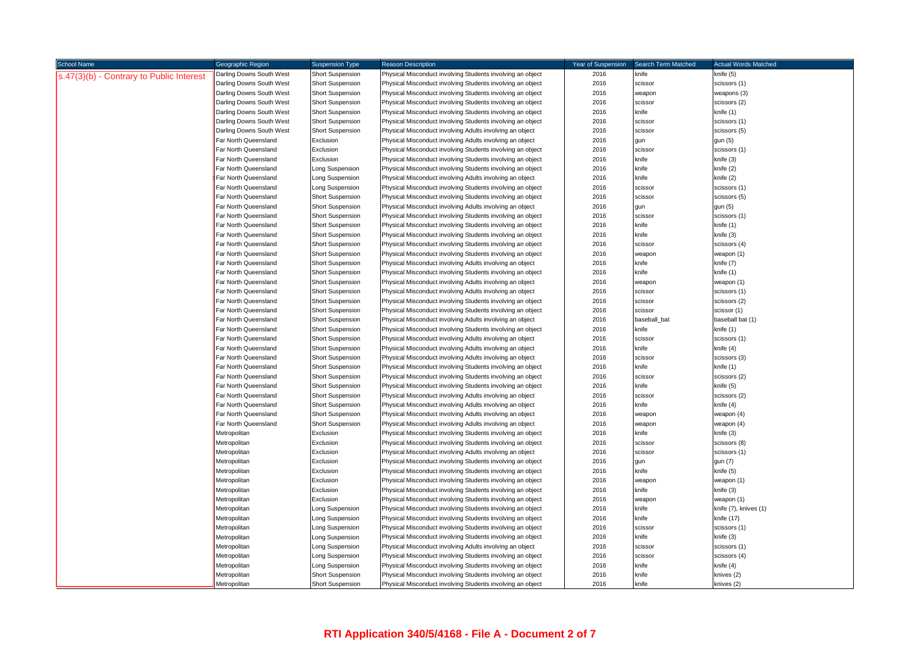| <b>School Name</b>                       | Geographic Region        | <b>Suspension Type</b>  | Reason Description                                         | Year of Suspension | Search Term Matched | <b>Actual Words Matched</b> |
|------------------------------------------|--------------------------|-------------------------|------------------------------------------------------------|--------------------|---------------------|-----------------------------|
| s.47(3)(b) - Contrary to Public Interest | Darling Downs South West | <b>Short Suspension</b> | Physical Misconduct involving Students involving an object | 2016               | knife               | knife (5)                   |
|                                          | Darling Downs South West | Short Suspension        | Physical Misconduct involving Students involving an object | 2016               | scissor             | scissors (1)                |
|                                          | Darling Downs South West | <b>Short Suspension</b> | Physical Misconduct involving Students involving an object | 2016               | weapon              | weapons (3)                 |
|                                          | Darling Downs South West | <b>Short Suspension</b> | Physical Misconduct involving Students involving an object | 2016               | scissor             | scissors (2)                |
|                                          | Darling Downs South West | Short Suspension        | Physical Misconduct involving Students involving an object | 2016               | knife               | knife (1)                   |
|                                          | Darling Downs South West | <b>Short Suspension</b> | Physical Misconduct involving Students involving an object | 2016               | scissor             | scissors (1)                |
|                                          | Darling Downs South West | <b>Short Suspension</b> | Physical Misconduct involving Adults involving an object   | 2016               | scissor             | scissors (5)                |
|                                          | Far North Queensland     | Exclusion               | Physical Misconduct involving Adults involving an object   | 2016               | gun                 | gun (5)                     |
|                                          | Far North Queensland     | Exclusion               | Physical Misconduct involving Students involving an object | 2016               | scissor             | scissors (1)                |
|                                          | Far North Queensland     | Exclusion               | Physical Misconduct involving Students involving an object | 2016               | knife               | knife (3)                   |
|                                          | Far North Queensland     | Long Suspension         | Physical Misconduct involving Students involving an object | 2016               | knife               | knife (2)                   |
|                                          | Far North Queensland     | ong Suspension          | Physical Misconduct involving Adults involving an object   | 2016               | knife               | knife (2)                   |
|                                          | Far North Queensland     | Long Suspension         | Physical Misconduct involving Students involving an object | 2016               | scissor             | scissors (1)                |
|                                          | Far North Queensland     | <b>Short Suspension</b> | Physical Misconduct involving Students involving an object | 2016               | scissor             | scissors (5)                |
|                                          | Far North Queensland     | <b>Short Suspension</b> | Physical Misconduct involving Adults involving an object   | 2016               | gun                 | gun (5)                     |
|                                          | Far North Queensland     | <b>Short Suspension</b> | Physical Misconduct involving Students involving an object | 2016               | scissor             | scissors (1)                |
|                                          | Far North Queensland     | <b>Short Suspension</b> | Physical Misconduct involving Students involving an object | 2016               | knife               | knife (1)                   |
|                                          | Far North Queensland     | <b>Short Suspension</b> | Physical Misconduct involving Students involving an object | 2016               | knife               | knife (3)                   |
|                                          | Far North Queensland     | <b>Short Suspension</b> | Physical Misconduct involving Students involving an object | 2016               | scissor             | scissors (4)                |
|                                          | Far North Queensland     | Short Suspension        | Physical Misconduct involving Students involving an object | 2016               | weapon              | weapon (1)                  |
|                                          | Far North Queensland     | <b>Short Suspension</b> | Physical Misconduct involving Adults involving an object   | 2016               | knife               | knife (7)                   |
|                                          | Far North Queensland     | <b>Short Suspension</b> | Physical Misconduct involving Students involving an object | 2016               | knife               | knife (1)                   |
|                                          | Far North Queensland     | Short Suspension        | Physical Misconduct involving Adults involving an object   | 2016               | weapon              | weapon (1)                  |
|                                          | Far North Queensland     | <b>Short Suspension</b> | Physical Misconduct involving Adults involving an object   | 2016               | scissor             | scissors (1)                |
|                                          | Far North Queensland     | <b>Short Suspension</b> | Physical Misconduct involving Students involving an object | 2016               | scissor             | scissors (2)                |
|                                          | Far North Queensland     | <b>Short Suspension</b> | Physical Misconduct involving Students involving an object | 2016               | scissor             | scissor (1)                 |
|                                          | Far North Queensland     | <b>Short Suspension</b> | Physical Misconduct involving Adults involving an object   | 2016               | baseball bat        | baseball bat (1)            |
|                                          | Far North Queensland     | <b>Short Suspension</b> | Physical Misconduct involving Students involving an object | 2016               | knife               | knife (1)                   |
|                                          | Far North Queensland     | <b>Short Suspension</b> | Physical Misconduct involving Adults involving an object   | 2016               | scissor             | scissors (1)                |
|                                          | Far North Queensland     | <b>Short Suspension</b> | Physical Misconduct involving Adults involving an object   | 2016               | knife               | knife (4)                   |
|                                          | Far North Queensland     | <b>Short Suspension</b> | Physical Misconduct involving Adults involving an object   | 2016               | scissor             | scissors (3)                |
|                                          | Far North Queensland     | <b>Short Suspension</b> | Physical Misconduct involving Students involving an object | 2016               | knife               | knife (1)                   |
|                                          | Far North Queensland     | <b>Short Suspension</b> | Physical Misconduct involving Students involving an object | 2016               | scissor             | scissors (2)                |
|                                          | Far North Queensland     | <b>Short Suspension</b> | Physical Misconduct involving Students involving an object | 2016               | knife               | knife (5)                   |
|                                          | Far North Queensland     | <b>Short Suspension</b> | Physical Misconduct involving Adults involving an object   | 2016               | scissor             | scissors (2)                |
|                                          | Far North Queensland     | <b>Short Suspension</b> | Physical Misconduct involving Adults involving an object   | 2016               | knife               | knife (4)                   |
|                                          | Far North Queensland     | <b>Short Suspension</b> | Physical Misconduct involving Adults involving an object   | 2016               | weapon              | weapon (4)                  |
|                                          | Far North Queensland     | <b>Short Suspension</b> | Physical Misconduct involving Adults involving an object   | 2016               | weapon              | weapon (4)                  |
|                                          | Metropolitan             | Exclusion               | Physical Misconduct involving Students involving an object | 2016               | knife               | knife (3)                   |
|                                          | Metropolitan             | Exclusion               | Physical Misconduct involving Students involving an object | 2016               | scissor             | scissors (8)                |
|                                          | Metropolitan             | Exclusion               | Physical Misconduct involving Adults involving an object   | 2016               | scissor             | scissors (1)                |
|                                          | Metropolitan             | Exclusion               | Physical Misconduct involving Students involving an object | 2016               | qun                 | gun (7)                     |
|                                          | Metropolitan             | Exclusion               | Physical Misconduct involving Students involving an object | 2016               | knife               | knife (5)                   |
|                                          | Metropolitan             | Exclusion               | Physical Misconduct involving Students involving an object | 2016               | weapon              | weapon (1)                  |
|                                          | Metropolitan             | Exclusion               | Physical Misconduct involving Students involving an object | 2016               | knife               | knife (3)                   |
|                                          | Metropolitan             | Exclusion               | Physical Misconduct involving Students involving an object | 2016               | weapon              | weapon (1)                  |
|                                          | Metropolitan             | Long Suspension         | Physical Misconduct involving Students involving an object | 2016               | knife               | knife (7), knives (1)       |
|                                          | Metropolitan             | Long Suspension         | Physical Misconduct involving Students involving an object | 2016               | knife               | knife (17)                  |
|                                          | Metropolitan             | Long Suspension         | Physical Misconduct involving Students involving an object | 2016               | scissor             | scissors (1)                |
|                                          | Metropolitan             | Long Suspension         | Physical Misconduct involving Students involving an object | 2016               | knife               | knife (3)                   |
|                                          | Metropolitan             | ong Suspension.         | Physical Misconduct involving Adults involving an object   | 2016               | scissor             | scissors (1)                |
|                                          | Metropolitan             | Long Suspension         | Physical Misconduct involving Students involving an object | 2016               | scissor             | scissors (4)                |
|                                          | Metropolitan             | Long Suspension         | Physical Misconduct involving Students involving an object | 2016               | knife               | knife (4)                   |
|                                          | Metropolitan             | <b>Short Suspension</b> | Physical Misconduct involving Students involving an object | 2016               | knife               | knives (2)                  |
|                                          | Metropolitan             | <b>Short Suspension</b> | Physical Misconduct involving Students involving an object | 2016               | knife               | knives (2)                  |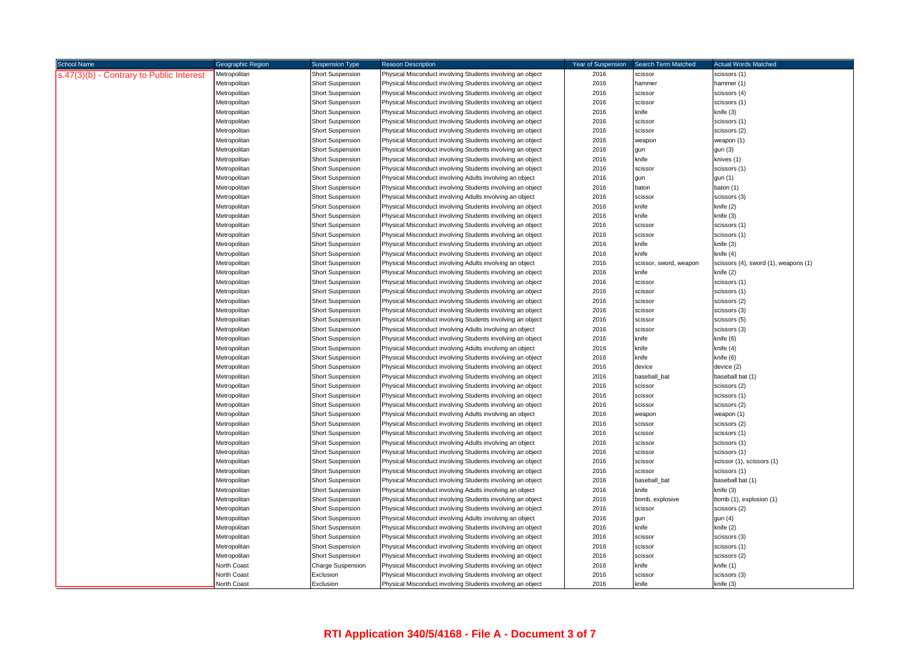| School Name                              | Geographic Region | <b>Suspension Type</b>  | <b>Reason Description</b>                                  | Year of Suspension | Search Term Matched    | <b>Actual Words Matched</b>          |
|------------------------------------------|-------------------|-------------------------|------------------------------------------------------------|--------------------|------------------------|--------------------------------------|
| s.47(3)(b) - Contrary to Public Interest | Metropolitan      | <b>Short Suspension</b> | Physical Misconduct involving Students involving an object | 2016               | scissor                | scissors (1)                         |
|                                          | Metropolitan      | <b>Short Suspension</b> | Physical Misconduct involving Students involving an object | 2016               | hammer                 | hammer (1)                           |
|                                          | Metropolitan      | Short Suspension        | Physical Misconduct involving Students involving an object | 2016               | scissor                | scissors (4)                         |
|                                          | Metropolitan      | <b>Short Suspension</b> | Physical Misconduct involving Students involving an object | 2016               | scissor                | scissors (1)                         |
|                                          | Metropolitan      | Short Suspension        | Physical Misconduct involving Students involving an object | 2016               | knife                  | knife (3)                            |
|                                          | Metropolitan      | Short Suspension        | Physical Misconduct involving Students involving an object | 2016               | scissor                | scissors (1)                         |
|                                          | Metropolitan      | <b>Short Suspension</b> | Physical Misconduct involving Students involving an object | 2016               | scissor                | scissors (2)                         |
|                                          | Metropolitan      | <b>Short Suspension</b> | Physical Misconduct involving Students involving an object | 2016               | weapon                 | weapon (1)                           |
|                                          | Metropolitan      | Short Suspension        | Physical Misconduct involving Students involving an object | 2016               | gun                    | gun (3)                              |
|                                          | Metropolitan      | <b>Short Suspension</b> | Physical Misconduct involving Students involving an object | 2016               | knife                  | knives (1)                           |
|                                          | Metropolitan      | Short Suspension        | Physical Misconduct involving Students involving an object | 2016               | scissor                | scissors (1)                         |
|                                          | Metropolitan      | Short Suspension        | Physical Misconduct involving Adults involving an object   | 2016               | gun                    | gun (1)                              |
|                                          | Metropolitan      | <b>Short Suspension</b> | Physical Misconduct involving Students involving an object | 2016               | baton                  | baton (1)                            |
|                                          | Metropolitan      | Short Suspension        | Physical Misconduct involving Adults involving an object   | 2016               | scissor                | scissors (3)                         |
|                                          | Metropolitan      | Short Suspension        | Physical Misconduct involving Students involving an object | 2016               | knife                  | knife (2)                            |
|                                          | Metropolitan      | <b>Short Suspension</b> | Physical Misconduct involving Students involving an object | 2016               | knife                  | knife (3)                            |
|                                          | Metropolitan      | <b>Short Suspension</b> | Physical Misconduct involving Students involving an object | 2016               | scissor                | scissors (1)                         |
|                                          | Metropolitan      | <b>Short Suspension</b> | Physical Misconduct involving Students involving an object | 2016               | scissor                | scissors (1)                         |
|                                          | Metropolitan      | <b>Short Suspension</b> | Physical Misconduct involving Students involving an object | 2016               | knife                  | knife (3)                            |
|                                          | Metropolitan      | Short Suspension        | Physical Misconduct involving Students involving an object | 2016               | knife                  | knife (4)                            |
|                                          | Metropolitan      | <b>Short Suspension</b> | Physical Misconduct involving Adults involving an object   | 2016               | scissor, sword, weapon | scissors (4), sword (1), weapons (1) |
|                                          | Metropolitan      | <b>Short Suspension</b> | Physical Misconduct involving Students involving an object | 2016               | knife                  | knife (2)                            |
|                                          | Metropolitan      | Short Suspension        | Physical Misconduct involving Students involving an object | 2016               | scissor                | scissors (1)                         |
|                                          | Metropolitan      | <b>Short Suspension</b> | Physical Misconduct involving Students involving an object | 2016               | scissor                | scissors (1)                         |
|                                          | Metropolitan      | <b>Short Suspension</b> | Physical Misconduct involving Students involving an object | 2016               | scissor                | scissors (2)                         |
|                                          | Metropolitan      | Short Suspension        | Physical Misconduct involving Students involving an object | 2016               | scissor                | scissors (3)                         |
|                                          | Metropolitan      | <b>Short Suspension</b> | Physical Misconduct involving Students involving an object | 2016               | scissor                | scissors (5)                         |
|                                          | Metropolitan      | <b>Short Suspension</b> | Physical Misconduct involving Adults involving an object   | 2016               | scissor                | scissors (3)                         |
|                                          | Metropolitan      | Short Suspension        | Physical Misconduct involving Students involving an object | 2016               | knife                  | knife (6)                            |
|                                          | Metropolitan      | <b>Short Suspension</b> | Physical Misconduct involving Adults involving an object   | 2016               | knife                  | knife (4)                            |
|                                          | Metropolitan      | <b>Short Suspension</b> | Physical Misconduct involving Students involving an object | 2016               | knife                  | knife (6)                            |
|                                          | Metropolitan      | <b>Short Suspension</b> | Physical Misconduct involving Students involving an object | 2016               | device                 | device (2)                           |
|                                          | Metropolitan      | <b>Short Suspension</b> | Physical Misconduct involving Students involving an object | 2016               | baseball bat           | baseball bat (1)                     |
|                                          | Metropolitan      | <b>Short Suspension</b> | Physical Misconduct involving Students involving an object | 2016               | scissor                | scissors (2)                         |
|                                          | Metropolitan      | Short Suspension        | Physical Misconduct involving Students involving an object | 2016               | scissor                | scissors (1)                         |
|                                          | Metropolitan      | <b>Short Suspension</b> | Physical Misconduct involving Students involving an object | 2016               | scissor                | scissors (2)                         |
|                                          | Metropolitan      | <b>Short Suspension</b> | Physical Misconduct involving Adults involving an object   | 2016               | weapon                 | weapon (1)                           |
|                                          | Metropolitan      | Short Suspension        | Physical Misconduct involving Students involving an object | 2016               | scissor                | scissors (2)                         |
|                                          | Metropolitan      | <b>Short Suspension</b> | Physical Misconduct involving Students involving an object | 2016               | scissor                | scissors (1)                         |
|                                          | Metropolitan      | <b>Short Suspension</b> | Physical Misconduct involving Adults involving an object   | 2016               | scissor                | scissors (1)                         |
|                                          | Metropolitan      | Short Suspension        | Physical Misconduct involving Students involving an object | 2016               | scissor                | scissors (1)                         |
|                                          | Metropolitan      | <b>Short Suspension</b> | Physical Misconduct involving Students involving an object | 2016               | scissor                | scissor (1), scissors (1)            |
|                                          | Metropolitan      | <b>Short Suspension</b> | Physical Misconduct involving Students involving an object | 2016               | scissor                | scissors (1)                         |
|                                          | Metropolitan      | Short Suspension        | Physical Misconduct involving Students involving an object | 2016               | baseball_bat           | baseball bat (1)                     |
|                                          | Metropolitan      | <b>Short Suspension</b> | Physical Misconduct involving Adults involving an object   | 2016               | knife                  | knife (3)                            |
|                                          | Metropolitan      | <b>Short Suspension</b> | Physical Misconduct involving Students involving an object | 2016               | bomb, explosive        | bomb (1), explosion (1)              |
|                                          | Metropolitan      | Short Suspension        | Physical Misconduct involving Students involving an object | 2016               | scissor                | scissors (2)                         |
|                                          | Metropolitan      | <b>Short Suspension</b> | Physical Misconduct involving Adults involving an object   | 2016               | gun                    | gun (4)                              |
|                                          | Metropolitan      | <b>Short Suspension</b> | Physical Misconduct involving Students involving an object | 2016               | knife                  | knife (2)                            |
|                                          | Metropolitan      | Short Suspension        | Physical Misconduct involving Students involving an object | 2016               | scissor                | scissors (3)                         |
|                                          | Metropolitan      | <b>Short Suspension</b> | Physical Misconduct involving Students involving an object | 2016               | scissor                | scissors (1)                         |
|                                          | Metropolitan      | <b>Short Suspension</b> | Physical Misconduct involving Students involving an object | 2016               | scissor                | scissors (2)                         |
|                                          | North Coast       | Charge Suspension       | Physical Misconduct involving Students involving an object | 2016               | knife                  | knife (1)                            |
|                                          | North Coast       | Exclusion               | Physical Misconduct involving Students involving an object | 2016               | scissor                | scissors (3)                         |
|                                          | North Coast       | Exclusion               | Physical Misconduct involving Students involving an object | 2016               | knife                  | knife (3)                            |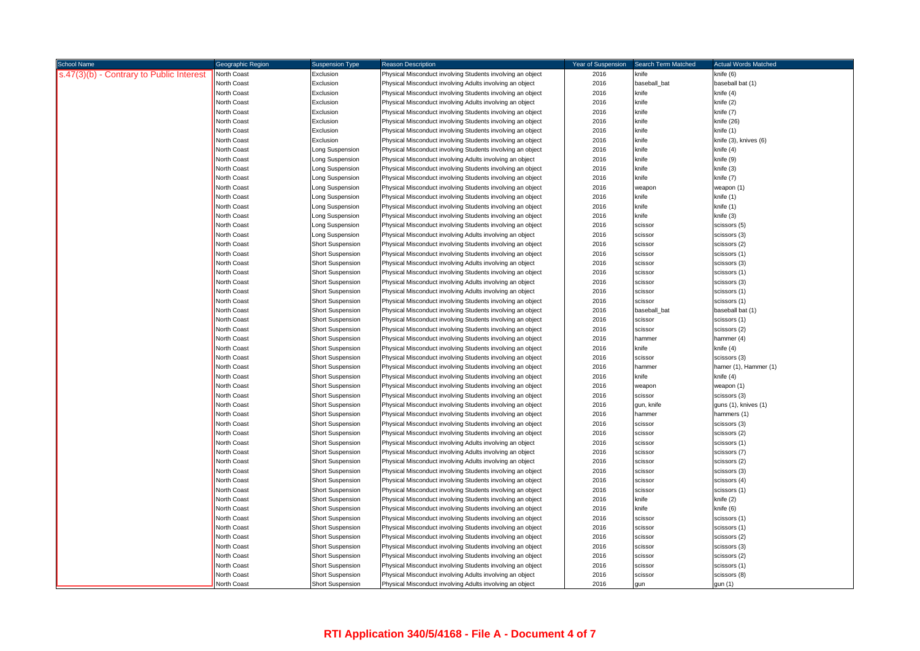| <b>School Name</b><br>Geographic Region                 | <b>Suspension Type</b>  | <b>Reason Description</b>                                  | Year of Suspension | Search Term Matched | <b>Actual Words Matched</b> |
|---------------------------------------------------------|-------------------------|------------------------------------------------------------|--------------------|---------------------|-----------------------------|
| North Coast<br>s.47(3)(b) - Contrary to Public Interest | Exclusion               | Physical Misconduct involving Students involving an object | 2016               | knife               | knife (6)                   |
| North Coast                                             | Exclusion               | Physical Misconduct involving Adults involving an object   | 2016               | baseball bat        | baseball bat (1)            |
| North Coast                                             | Exclusion               | Physical Misconduct involving Students involving an object | 2016               | knife               | knife (4)                   |
| North Coast                                             | Exclusion               | Physical Misconduct involving Adults involving an object   | 2016               | knife               | knife (2)                   |
| North Coast                                             | Exclusion               | Physical Misconduct involving Students involving an object | 2016               | knife               | knife (7)                   |
| North Coast                                             | Exclusion               | Physical Misconduct involving Students involving an object | 2016               | knife               | knife (26)                  |
| North Coast                                             | Exclusion               | Physical Misconduct involving Students involving an object | 2016               | knife               | knife (1)                   |
| North Coast                                             | Exclusion               | Physical Misconduct involving Students involving an object | 2016               | knife               | knife (3), knives (6)       |
| North Coast                                             | Long Suspension         | Physical Misconduct involving Students involving an object | 2016               | knife               | knife (4)                   |
| North Coast                                             | Long Suspension         | Physical Misconduct involving Adults involving an object   | 2016               | knife               | knife (9)                   |
| North Coast                                             | Long Suspension         | Physical Misconduct involving Students involving an object | 2016               | knife               | knife (3)                   |
| North Coast                                             | Long Suspension         | Physical Misconduct involving Students involving an object | 2016               | knife               | knife (7)                   |
| North Coast                                             | Long Suspension         | Physical Misconduct involving Students involving an object | 2016               | weapon              | weapon (1)                  |
| North Coast                                             | Long Suspension         | Physical Misconduct involving Students involving an object | 2016               | knife               | knife (1)                   |
| North Coast                                             | Long Suspension         | Physical Misconduct involving Students involving an object | 2016               | knife               | knife (1)                   |
| North Coast                                             | Long Suspension         | Physical Misconduct involving Students involving an object | 2016               | knife               | knife (3)                   |
| North Coast                                             | Long Suspension         | Physical Misconduct involving Students involving an object | 2016               | scissor             | scissors (5)                |
| North Coast                                             | Long Suspension         | Physical Misconduct involving Adults involving an object   | 2016               | scissor             | scissors (3)                |
| North Coast                                             | <b>Short Suspension</b> | Physical Misconduct involving Students involving an object | 2016               | scissor             | scissors (2)                |
| North Coast                                             | <b>Short Suspension</b> | Physical Misconduct involving Students involving an object | 2016               | scissor             | scissors (1)                |
| North Coast                                             | <b>Short Suspension</b> | Physical Misconduct involving Adults involving an object   | 2016               | scissor             | scissors (3)                |
| North Coast                                             | <b>Short Suspension</b> | Physical Misconduct involving Students involving an object | 2016               | scissor             | scissors (1)                |
| North Coast                                             | <b>Short Suspension</b> | Physical Misconduct involving Adults involving an object   | 2016               | scissor             | scissors (3)                |
| North Coast                                             | <b>Short Suspension</b> | Physical Misconduct involving Adults involving an object   | 2016               | scissor             | scissors (1)                |
| North Coast                                             | <b>Short Suspension</b> | Physical Misconduct involving Students involving an object | 2016               | scissor             | scissors (1)                |
| North Coast                                             | <b>Short Suspension</b> | Physical Misconduct involving Students involving an object | 2016               | baseball_bat        | baseball bat (1)            |
| North Coast                                             | <b>Short Suspension</b> | Physical Misconduct involving Students involving an object | 2016               | scissor             | scissors (1)                |
| North Coast                                             | <b>Short Suspension</b> | Physical Misconduct involving Students involving an object | 2016               | scissor             | scissors (2)                |
| North Coast                                             | <b>Short Suspension</b> | Physical Misconduct involving Students involving an object | 2016               | hammer              | hammer (4)                  |
| North Coast                                             | <b>Short Suspension</b> | Physical Misconduct involving Students involving an object | 2016               | knife               | knife (4)                   |
| North Coast                                             | <b>Short Suspension</b> | Physical Misconduct involving Students involving an object | 2016               | scissor             | scissors (3)                |
| North Coast                                             | <b>Short Suspension</b> | Physical Misconduct involving Students involving an object | 2016               | hammer              | hamer (1), Hammer (1)       |
| North Coast                                             | <b>Short Suspension</b> | Physical Misconduct involving Students involving an object | 2016               | knife               | knife (4)                   |
| North Coast                                             | <b>Short Suspension</b> | Physical Misconduct involving Students involving an object | 2016               | weapon              | weapon (1)                  |
| North Coast                                             | <b>Short Suspension</b> | Physical Misconduct involving Students involving an object | 2016               | scissor             | scissors (3)                |
| North Coast                                             | <b>Short Suspension</b> | Physical Misconduct involving Students involving an object | 2016               | gun, knife          | guns (1), knives (1)        |
| North Coast                                             | <b>Short Suspension</b> | Physical Misconduct involving Students involving an object | 2016               | hammer              | hammers (1)                 |
| North Coast                                             | <b>Short Suspension</b> | Physical Misconduct involving Students involving an object | 2016               | scissor             | scissors (3)                |
| North Coast                                             | <b>Short Suspension</b> | Physical Misconduct involving Students involving an object | 2016               | scissor             | scissors (2)                |
| North Coast                                             | <b>Short Suspension</b> | Physical Misconduct involving Adults involving an object   | 2016               | scissor             | scissors (1)                |
| North Coast                                             | <b>Short Suspension</b> | Physical Misconduct involving Adults involving an object   | 2016               | scissor             | scissors (7)                |
| North Coast                                             | <b>Short Suspension</b> | Physical Misconduct involving Adults involving an object   | 2016               | scissor             | scissors (2)                |
| North Coast                                             | <b>Short Suspension</b> | Physical Misconduct involving Students involving an object | 2016               | scissor             | scissors (3)                |
| North Coast                                             | Short Suspension        | Physical Misconduct involving Students involving an object | 2016               | scissor             | scissors (4)                |
| North Coast                                             | <b>Short Suspension</b> | Physical Misconduct involving Students involving an object | 2016               | scissor             | scissors (1)                |
| North Coast                                             | <b>Short Suspension</b> | Physical Misconduct involving Students involving an object | 2016               | knife               | knife (2)                   |
| North Coast                                             | Short Suspension        | Physical Misconduct involving Students involving an object | 2016               | knife               | knife (6)                   |
| North Coast                                             | <b>Short Suspension</b> | Physical Misconduct involving Students involving an object | 2016               | scissor             | scissors (1)                |
| North Coast                                             | <b>Short Suspension</b> | Physical Misconduct involving Students involving an object | 2016               | scissor             | scissors (1)                |
| North Coast                                             | <b>Short Suspension</b> | Physical Misconduct involving Students involving an object | 2016               | scissor             | scissors (2)                |
| North Coast                                             | <b>Short Suspension</b> | Physical Misconduct involving Students involving an object | 2016               | scissor             | scissors (3)                |
| North Coast                                             | <b>Short Suspension</b> | Physical Misconduct involving Students involving an object | 2016               | scissor             | scissors (2)                |
| North Coast                                             | Short Suspension        | Physical Misconduct involving Students involving an object | 2016               | scissor             | scissors (1)                |
| North Coast                                             | <b>Short Suspension</b> | Physical Misconduct involving Adults involving an object   | 2016               | scissor             | scissors (8)                |
| North Coast                                             | <b>Short Suspension</b> | Physical Misconduct involving Adults involving an object   | 2016               | qun                 | gun (1)                     |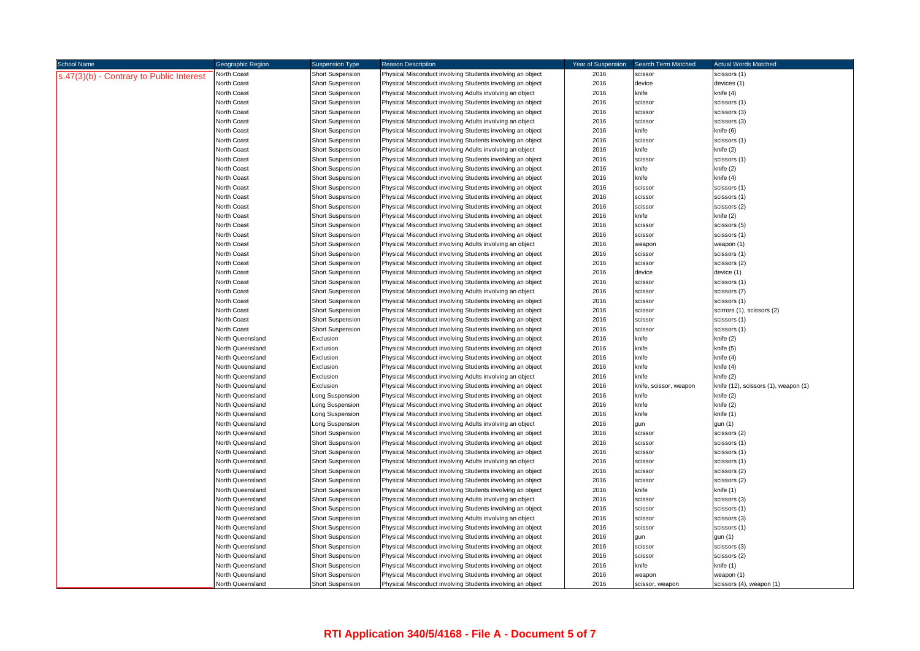| <b>School Name</b>                       | Geographic Region | <b>Suspension Type</b>  | <b>Reason Description</b>                                  | Year of Suspension | Search Term Matched    | <b>Actual Words Matched</b>          |
|------------------------------------------|-------------------|-------------------------|------------------------------------------------------------|--------------------|------------------------|--------------------------------------|
| s.47(3)(b) - Contrary to Public Interest | North Coast       | Short Suspension        | Physical Misconduct involving Students involving an object | 2016               | scissor                | scissors (1)                         |
|                                          | North Coast       | Short Suspension        | Physical Misconduct involving Students involving an object | 2016               | device                 | devices (1)                          |
|                                          | North Coast       | Short Suspension        | Physical Misconduct involving Adults involving an object   | 2016               | knife                  | knife (4)                            |
|                                          | North Coast       | Short Suspension        | Physical Misconduct involving Students involving an object | 2016               | scissor                | scissors (1)                         |
|                                          | North Coast       | Short Suspension        | Physical Misconduct involving Students involving an object | 2016               | scissor                | scissors (3)                         |
|                                          | North Coast       | Short Suspension        | Physical Misconduct involving Adults involving an object   | 2016               | scissor                | scissors (3)                         |
|                                          | North Coast       | Short Suspension        | Physical Misconduct involving Students involving an object | 2016               | knife                  | knife (6)                            |
|                                          | North Coast       | Short Suspension        | Physical Misconduct involving Students involving an object | 2016               | scissor                | scissors (1)                         |
|                                          | North Coast       | Short Suspension        | Physical Misconduct involving Adults involving an object   | 2016               | knife                  | knife (2)                            |
|                                          | North Coast       | <b>Short Suspension</b> | Physical Misconduct involving Students involving an object | 2016               | scissor                | scissors (1)                         |
|                                          | North Coast       | Short Suspension        | Physical Misconduct involving Students involving an object | 2016               | knife                  | knife (2)                            |
|                                          | North Coast       | Short Suspension        | Physical Misconduct involving Students involving an object | 2016               | knife                  | knife (4)                            |
|                                          | North Coast       | <b>Short Suspension</b> | Physical Misconduct involving Students involving an object | 2016               | scissor                | scissors (1)                         |
|                                          | North Coast       | Short Suspension        | Physical Misconduct involving Students involving an object | 2016               | scissor                | scissors (1)                         |
|                                          | North Coast       | <b>Short Suspension</b> | Physical Misconduct involving Students involving an object | 2016               | scissor                | scissors (2)                         |
|                                          | North Coast       | <b>Short Suspension</b> | Physical Misconduct involving Students involving an object | 2016               | knife                  | knife (2)                            |
|                                          | North Coast       | <b>Short Suspension</b> | Physical Misconduct involving Students involving an object | 2016               | scissor                | scissors (5)                         |
|                                          | North Coast       | <b>Short Suspension</b> | Physical Misconduct involving Students involving an object | 2016               | scissor                | scissors (1)                         |
|                                          | North Coast       | <b>Short Suspension</b> | Physical Misconduct involving Adults involving an object   | 2016               | weapon                 | weapon (1)                           |
|                                          | North Coast       | <b>Short Suspension</b> | Physical Misconduct involving Students involving an object | 2016               | scissor                | scissors (1)                         |
|                                          | North Coast       | Short Suspension        | Physical Misconduct involving Students involving an object | 2016               | scissor                | scissors (2)                         |
|                                          | North Coast       | <b>Short Suspension</b> | Physical Misconduct involving Students involving an object | 2016               | device                 | device (1)                           |
|                                          | North Coast       | Short Suspension        | Physical Misconduct involving Students involving an object | 2016               | scissor                | scissors (1)                         |
|                                          | North Coast       | Short Suspension        | Physical Misconduct involving Adults involving an object   | 2016               | scissor                | scissors (7)                         |
|                                          | North Coast       | <b>Short Suspension</b> | Physical Misconduct involving Students involving an object | 2016               | scissor                | scissors (1)                         |
|                                          | North Coast       | Short Suspension        | Physical Misconduct involving Students involving an object | 2016               | scissor                | scirrors (1), scissors (2)           |
|                                          | North Coast       | Short Suspension        | Physical Misconduct involving Students involving an object | 2016               | scissor                | scissors (1)                         |
|                                          | North Coast       | <b>Short Suspension</b> | Physical Misconduct involving Students involving an object | 2016               | scissor                | scissors (1)                         |
|                                          | North Queensland  | Exclusion               | Physical Misconduct involving Students involving an object | 2016               | knife                  | knife (2)                            |
|                                          | North Queensland  | Exclusion               | Physical Misconduct involving Students involving an object | 2016               | knife                  | knife (5)                            |
|                                          | North Queensland  | Exclusion               | Physical Misconduct involving Students involving an object | 2016               | knife                  | knife (4)                            |
|                                          | North Queensland  | Exclusion               | Physical Misconduct involving Students involving an object | 2016               | knife                  | knife (4)                            |
|                                          | North Queensland  | Exclusion               | Physical Misconduct involving Adults involving an object   | 2016               | knife                  | knife (2)                            |
|                                          | North Queensland  | Exclusion               | Physical Misconduct involving Students involving an object | 2016               | knife, scissor, weapon | knife (12), scissors (1), weapon (1) |
|                                          | North Queensland  | Long Suspension         | Physical Misconduct involving Students involving an object | 2016               | knife                  | knife (2)                            |
|                                          | North Queensland  | Long Suspension         | Physical Misconduct involving Students involving an object | 2016               | knife                  | knife (2)                            |
|                                          | North Queensland  | Long Suspension         | Physical Misconduct involving Students involving an object | 2016               | knife                  | knife (1)                            |
|                                          | North Queensland  | Long Suspension         | Physical Misconduct involving Adults involving an object   | 2016               | gun                    | gun (1)                              |
|                                          | North Queensland  | <b>Short Suspension</b> | Physical Misconduct involving Students involving an object | 2016               | scissor                | scissors (2)                         |
|                                          | North Queensland  | <b>Short Suspension</b> | Physical Misconduct involving Students involving an object | 2016               | scissor                | scissors (1)                         |
|                                          | North Queensland  | Short Suspension        | Physical Misconduct involving Students involving an object | 2016               | scissor                | scissors (1)                         |
|                                          | North Queensland  | <b>Short Suspension</b> | Physical Misconduct involving Adults involving an object   | 2016               | scissor                | scissors (1)                         |
|                                          | North Queensland  | <b>Short Suspension</b> | Physical Misconduct involving Students involving an object | 2016               | scissor                | scissors (2)                         |
|                                          | North Queensland  | <b>Short Suspension</b> | Physical Misconduct involving Students involving an object | 2016               | scissor                | scissors (2)                         |
|                                          | North Queensland  | <b>Short Suspension</b> | Physical Misconduct involving Students involving an object | 2016               | knife                  | knife (1)                            |
|                                          | North Queensland  | Short Suspension        | Physical Misconduct involving Adults involving an object   | 2016               | scissor                | scissors (3)                         |
|                                          | North Queensland  | Short Suspension        | Physical Misconduct involving Students involving an object | 2016               | scissor                | scissors (1)                         |
|                                          | North Queensland  | <b>Short Suspension</b> | Physical Misconduct involving Adults involving an object   | 2016               | scissor                | scissors (3)                         |
|                                          | North Queensland  | <b>Short Suspension</b> | Physical Misconduct involving Students involving an object | 2016               | scissor                | scissors (1)                         |
|                                          | North Queensland  | <b>Short Suspension</b> | Physical Misconduct involving Students involving an object | 2016               | gun                    | gun (1)                              |
|                                          | North Queensland  | <b>Short Suspension</b> | Physical Misconduct involving Students involving an object | 2016               | scissor                | scissors (3)                         |
|                                          | North Queensland  | <b>Short Suspension</b> | Physical Misconduct involving Students involving an object | 2016               | scissor                | scissors (2)                         |
|                                          | North Queensland  | <b>Short Suspension</b> | Physical Misconduct involving Students involving an object | 2016               | knife                  | knife (1)                            |
|                                          | North Queensland  | <b>Short Suspension</b> | Physical Misconduct involving Students involving an object | 2016               | weapon                 | weapon (1)                           |
|                                          | North Queensland  | Short Suspension        | Physical Misconduct involving Students involving an object | 2016               | scissor, weapon        | scissors (4), weapon (1)             |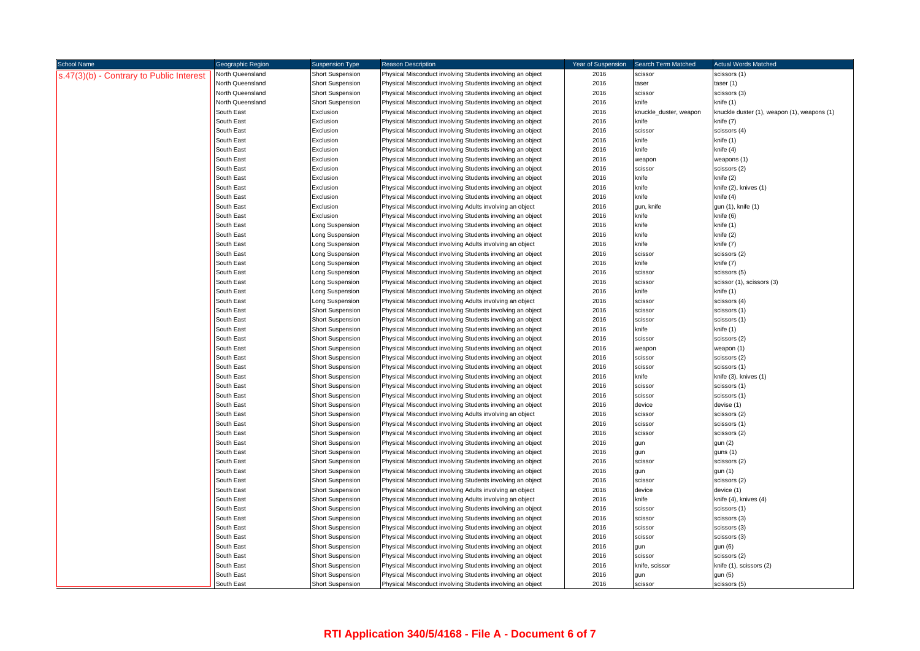| <b>School Name</b>                       | Geographic Region        | <b>Suspension Type</b>                             | Reason Description                                                                                                       | Year of Suspension | Search Term Matched    | <b>Actual Words Matched</b>                 |
|------------------------------------------|--------------------------|----------------------------------------------------|--------------------------------------------------------------------------------------------------------------------------|--------------------|------------------------|---------------------------------------------|
| s.47(3)(b) - Contrary to Public Interest | North Queensland         | <b>Short Suspension</b>                            | Physical Misconduct involving Students involving an object                                                               | 2016               | scissor                | scissors (1)                                |
|                                          | North Queensland         | <b>Short Suspension</b>                            | Physical Misconduct involving Students involving an object                                                               | 2016               | taser                  | taser $(1)$                                 |
|                                          | North Queensland         | <b>Short Suspension</b>                            | Physical Misconduct involving Students involving an object                                                               | 2016               | scissor                | scissors (3)                                |
|                                          | North Queensland         | <b>Short Suspension</b>                            | Physical Misconduct involving Students involving an object                                                               | 2016               | knife                  | knife (1)                                   |
|                                          | South East               | Exclusion                                          | Physical Misconduct involving Students involving an object                                                               | 2016               | knuckle duster, weapon | knuckle duster (1), weapon (1), weapons (1) |
|                                          | South East               | Exclusion                                          | Physical Misconduct involving Students involving an object                                                               | 2016               | knife                  | knife (7)                                   |
|                                          | South East               | Exclusion                                          | Physical Misconduct involving Students involving an object                                                               | 2016               | scissor                | scissors (4)                                |
|                                          | South East               | Exclusion                                          | Physical Misconduct involving Students involving an object                                                               | 2016               | knife                  | knife (1)                                   |
|                                          | South East               | Exclusion                                          | Physical Misconduct involving Students involving an object                                                               | 2016               | knife                  | knife (4)                                   |
|                                          | South East               | Exclusion                                          | Physical Misconduct involving Students involving an object                                                               | 2016               | weapon                 | weapons (1)                                 |
|                                          | South East               | Exclusion                                          | Physical Misconduct involving Students involving an object                                                               | 2016               | scissor                | scissors (2)                                |
|                                          | South East               | Exclusion                                          | Physical Misconduct involving Students involving an object                                                               | 2016               | knife                  | knife (2)                                   |
|                                          | South East               | Exclusion                                          | Physical Misconduct involving Students involving an object                                                               | 2016               | knife                  | knife (2), knives (1)                       |
|                                          | South East               | Exclusion                                          | Physical Misconduct involving Students involving an object                                                               | 2016               | knife                  | knife (4)                                   |
|                                          | South East               | Exclusion                                          | Physical Misconduct involving Adults involving an object                                                                 | 2016               | gun, knife             | gun (1), knife (1)                          |
|                                          | South East               | Exclusion                                          | Physical Misconduct involving Students involving an object                                                               | 2016               | knife                  | knife (6)                                   |
|                                          | South East               | Long Suspension                                    | Physical Misconduct involving Students involving an object                                                               | 2016               | knife                  | knife (1)                                   |
|                                          | South East               | Long Suspension                                    | Physical Misconduct involving Students involving an object                                                               | 2016               | knife                  | knife (2)                                   |
|                                          | South East               | Long Suspension                                    | Physical Misconduct involving Adults involving an object                                                                 | 2016               | knife                  | knife (7)                                   |
|                                          | South East               | Long Suspension                                    | Physical Misconduct involving Students involving an object                                                               | 2016               | scissor                | scissors (2)                                |
|                                          | South East               | Long Suspension                                    | Physical Misconduct involving Students involving an object                                                               | 2016               | knife                  | knife (7)                                   |
|                                          | South East               | Long Suspension                                    | Physical Misconduct involving Students involving an object                                                               | 2016               | scissor                | scissors (5)                                |
|                                          | South East               | Long Suspension                                    | Physical Misconduct involving Students involving an object                                                               | 2016               | scissor                | scissor (1), scissors (3)                   |
|                                          | South East               | Long Suspension                                    | Physical Misconduct involving Students involving an object                                                               | 2016               | knife                  | knife (1)                                   |
|                                          | South East               | Long Suspension                                    | Physical Misconduct involving Adults involving an object                                                                 | 2016               | scissor                | scissors (4)                                |
|                                          | South East               | <b>Short Suspension</b>                            | Physical Misconduct involving Students involving an object                                                               | 2016               | scissor                | scissors (1)                                |
|                                          | South East               | Short Suspension                                   | Physical Misconduct involving Students involving an object                                                               | 2016               | scissor                | scissors (1)                                |
|                                          | South East               | <b>Short Suspension</b>                            | Physical Misconduct involving Students involving an object                                                               | 2016               | knife                  | knife (1)                                   |
|                                          | South East               | <b>Short Suspension</b>                            | Physical Misconduct involving Students involving an object                                                               | 2016               | scissor                | scissors (2)                                |
|                                          | South East               | <b>Short Suspension</b>                            | Physical Misconduct involving Students involving an object                                                               | 2016               | weapon                 | weapon (1)                                  |
|                                          | South East               | <b>Short Suspension</b>                            | Physical Misconduct involving Students involving an object                                                               | 2016               | scissor                | scissors (2)                                |
|                                          | South East               | <b>Short Suspension</b>                            | Physical Misconduct involving Students involving an object                                                               | 2016               | scissor                | scissors (1)                                |
|                                          | South East               | <b>Short Suspension</b>                            | Physical Misconduct involving Students involving an object                                                               | 2016               | knife                  | knife (3), knives (1)                       |
|                                          | South East               | <b>Short Suspension</b>                            | Physical Misconduct involving Students involving an object                                                               | 2016               | scissor                | scissors (1)                                |
|                                          | South East               | <b>Short Suspension</b>                            | Physical Misconduct involving Students involving an object                                                               | 2016               | scissor                | scissors (1)                                |
|                                          | South East               | <b>Short Suspension</b>                            | Physical Misconduct involving Students involving an object                                                               | 2016               | device                 | devise (1)                                  |
|                                          | South East               | <b>Short Suspension</b>                            | Physical Misconduct involving Adults involving an object                                                                 | 2016               | scissor                | scissors (2)                                |
|                                          | South East               | <b>Short Suspension</b>                            | Physical Misconduct involving Students involving an object                                                               | 2016               | scissor                | scissors (1)                                |
|                                          | South East               | Short Suspension                                   | Physical Misconduct involving Students involving an object                                                               | 2016               | scissor                | scissors (2)                                |
|                                          | South East               | <b>Short Suspension</b>                            | Physical Misconduct involving Students involving an object                                                               | 2016               | qun                    | gun (2)                                     |
|                                          | South East               | <b>Short Suspension</b>                            | Physical Misconduct involving Students involving an object                                                               | 2016               | gun                    | guns $(1)$                                  |
|                                          | South East               | <b>Short Suspension</b>                            | Physical Misconduct involving Students involving an object                                                               | 2016               | scissor                | scissors (2)                                |
|                                          | South East               | <b>Short Suspension</b>                            | Physical Misconduct involving Students involving an object                                                               | 2016               | gun                    | gun (1)                                     |
|                                          | South East               | Short Suspension                                   | Physical Misconduct involving Students involving an object                                                               | 2016               | scissor                | scissors (2)                                |
|                                          | South East               | <b>Short Suspension</b>                            | Physical Misconduct involving Adults involving an object                                                                 | 2016               | device                 | device (1)                                  |
|                                          | South East               | <b>Short Suspension</b>                            | Physical Misconduct involving Adults involving an object                                                                 | 2016               | knife                  | knife (4), knives (4)                       |
|                                          | South East               | <b>Short Suspension</b>                            |                                                                                                                          | 2016               | scissor                | scissors (1)                                |
|                                          | South East               | <b>Short Suspension</b>                            | Physical Misconduct involving Students involving an object<br>Physical Misconduct involving Students involving an object | 2016               | scissor                | scissors (3)                                |
|                                          | South East               |                                                    |                                                                                                                          | 2016               | scissor                |                                             |
|                                          | South East               | <b>Short Suspension</b>                            | Physical Misconduct involving Students involving an object                                                               |                    |                        | scissors (3)                                |
|                                          |                          | <b>Short Suspension</b>                            | Physical Misconduct involving Students involving an object                                                               | 2016               | scissor                | scissors (3)                                |
|                                          | South East<br>South East | <b>Short Suspension</b><br><b>Short Suspension</b> | Physical Misconduct involving Students involving an object<br>Physical Misconduct involving Students involving an object | 2016<br>2016       | gun<br>scissor         | gun (6)<br>scissors (2)                     |
|                                          | South East               |                                                    |                                                                                                                          |                    |                        |                                             |
|                                          | South East               | <b>Short Suspension</b><br><b>Short Suspension</b> | Physical Misconduct involving Students involving an object                                                               | 2016<br>2016       | knife, scissor         | knife (1), scissors (2)                     |
|                                          | South East               | Short Suspension                                   | Physical Misconduct involving Students involving an object<br>Physical Misconduct involving Students involving an object | 2016               | qun<br>scissor         | gun (5)<br>scissors (5)                     |
|                                          |                          |                                                    |                                                                                                                          |                    |                        |                                             |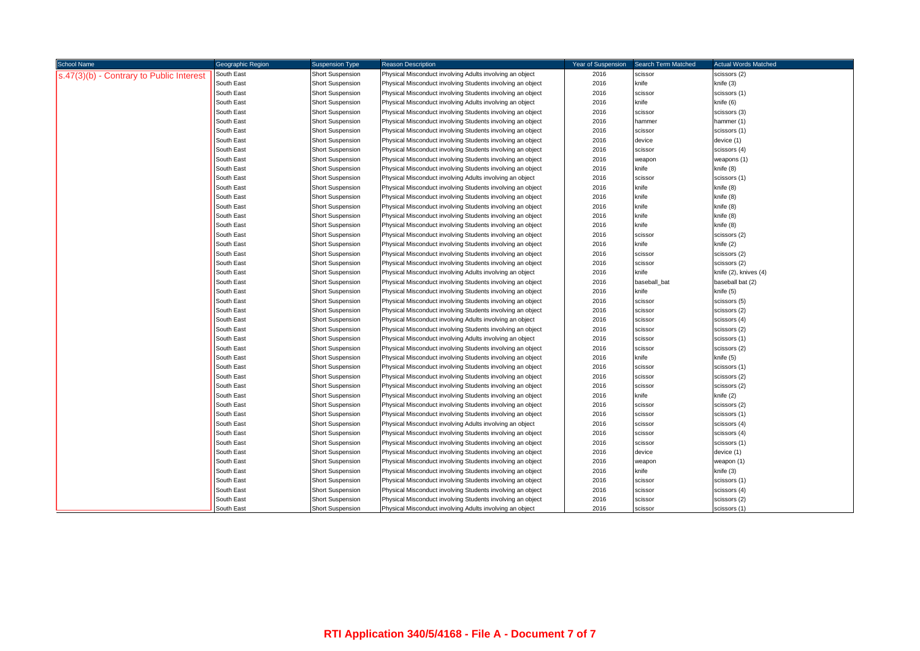| <b>School Name</b>                        | Geographic Region | <b>Suspension Type</b>  | <b>Reason Description</b>                                  | Year of Suspension | Search Term Matched | <b>Actual Words Matched</b> |
|-------------------------------------------|-------------------|-------------------------|------------------------------------------------------------|--------------------|---------------------|-----------------------------|
| (s.47(3)(b) - Contrary to Public Interest | South East        | Short Suspension        | Physical Misconduct involving Adults involving an object   | 2016               | scissor             | scissors (2)                |
|                                           | South East        | <b>Short Suspension</b> | Physical Misconduct involving Students involving an object | 2016               | knife               | knife (3)                   |
|                                           | South East        | Short Suspension        | Physical Misconduct involving Students involving an object | 2016               | scissor             | scissors (1)                |
|                                           | South East        | <b>Short Suspension</b> | Physical Misconduct involving Adults involving an object   | 2016               | knife               | knife (6)                   |
|                                           | South East        | <b>Short Suspension</b> | Physical Misconduct involving Students involving an object | 2016               | scissor             | scissors (3)                |
|                                           | South East        | <b>Short Suspension</b> | Physical Misconduct involving Students involving an object | 2016               | hammer              | hammer (1)                  |
|                                           | South East        | <b>Short Suspension</b> | Physical Misconduct involving Students involving an object | 2016               | scissor             | scissors (1)                |
|                                           | South East        | <b>Short Suspension</b> | Physical Misconduct involving Students involving an object | 2016               | device              | device (1)                  |
|                                           | South East        | <b>Short Suspension</b> | Physical Misconduct involving Students involving an object | 2016               | scissor             | scissors (4)                |
|                                           | South East        | Short Suspension        | Physical Misconduct involving Students involving an object | 2016               | weapon              | weapons (1)                 |
|                                           | South East        | Short Suspension        | Physical Misconduct involving Students involving an object | 2016               | knife               | knife (8)                   |
|                                           | South East        | <b>Short Suspension</b> | Physical Misconduct involving Adults involving an object   | 2016               | scissor             | scissors (1)                |
|                                           | South East        | <b>Short Suspension</b> | Physical Misconduct involving Students involving an object | 2016               | knife               | knife (8)                   |
|                                           | South East        | <b>Short Suspension</b> | Physical Misconduct involving Students involving an object | 2016               | knife               | knife (8)                   |
|                                           | South East        | <b>Short Suspension</b> | Physical Misconduct involving Students involving an object | 2016               | knife               | knife (8)                   |
|                                           | South East        | Short Suspension        | Physical Misconduct involving Students involving an object | 2016               | knife               | knife (8)                   |
|                                           | South East        | <b>Short Suspension</b> | Physical Misconduct involving Students involving an object | 2016               | knife               | knife (8)                   |
|                                           | South East        | <b>Short Suspension</b> | Physical Misconduct involving Students involving an object | 2016               | scissor             | scissors (2)                |
|                                           | South East        | <b>Short Suspension</b> | Physical Misconduct involving Students involving an object | 2016               | knife               | knife (2)                   |
|                                           | South East        | <b>Short Suspension</b> | Physical Misconduct involving Students involving an object | 2016               | scissor             | scissors (2)                |
|                                           | South East        | <b>Short Suspension</b> | Physical Misconduct involving Students involving an object | 2016               | scissor             | scissors (2)                |
|                                           | South East        | <b>Short Suspension</b> | Physical Misconduct involving Adults involving an object   | 2016               | knife               | knife (2), knives (4)       |
|                                           | South East        | Short Suspension        | Physical Misconduct involving Students involving an object | 2016               | baseball bat        | baseball bat (2)            |
|                                           | South East        | <b>Short Suspension</b> | Physical Misconduct involving Students involving an object | 2016               | knife               | knife (5)                   |
|                                           | South East        | Short Suspension        | Physical Misconduct involving Students involving an object | 2016               | scissor             | scissors (5)                |
|                                           | South East        | <b>Short Suspension</b> | Physical Misconduct involving Students involving an object | 2016               | scissor             | scissors (2)                |
|                                           | South East        | <b>Short Suspension</b> | Physical Misconduct involving Adults involving an object   | 2016               | scissor             | scissors (4)                |
|                                           | South East        | Short Suspension        | Physical Misconduct involving Students involving an object | 2016               | scissor             | scissors (2)                |
|                                           | South East        | <b>Short Suspension</b> | Physical Misconduct involving Adults involving an object   | 2016               | scissor             | scissors (1)                |
|                                           | South East        | Short Suspension        | Physical Misconduct involving Students involving an object | 2016               | scissor             | scissors (2)                |
|                                           | South East        | Short Suspension        | Physical Misconduct involving Students involving an object | 2016               | knife               | knife (5)                   |
|                                           | South East        | <b>Short Suspension</b> | Physical Misconduct involving Students involving an object | 2016               | scissor             | scissors (1)                |
|                                           | South East        | <b>Short Suspension</b> | Physical Misconduct involving Students involving an object | 2016               | scissor             | scissors (2)                |
|                                           | South East        | <b>Short Suspension</b> | Physical Misconduct involving Students involving an object | 2016               | scissor             | scissors (2)                |
|                                           | South East        | <b>Short Suspension</b> | Physical Misconduct involving Students involving an object | 2016               | knife               | knife (2)                   |
|                                           | South East        | <b>Short Suspension</b> | Physical Misconduct involving Students involving an object | 2016               | scissor             | scissors (2)                |
|                                           | South East        | <b>Short Suspension</b> | Physical Misconduct involving Students involving an object | 2016               | scissor             | scissors (1)                |
|                                           | South East        | <b>Short Suspension</b> | Physical Misconduct involving Adults involving an object   | 2016               | scissor             | scissors (4)                |
|                                           | South East        | <b>Short Suspension</b> | Physical Misconduct involving Students involving an object | 2016               | scissor             | scissors (4)                |
|                                           | South East        | <b>Short Suspension</b> | Physical Misconduct involving Students involving an object | 2016               | scissor             | scissors (1)                |
|                                           | South East        | <b>Short Suspension</b> | Physical Misconduct involving Students involving an object | 2016               | device              | device (1)                  |
|                                           | South East        | <b>Short Suspension</b> | Physical Misconduct involving Students involving an object | 2016               | weapon              | weapon (1)                  |
|                                           | South East        | <b>Short Suspension</b> | Physical Misconduct involving Students involving an object | 2016               | knife               | knife (3)                   |
|                                           | South East        | <b>Short Suspension</b> | Physical Misconduct involving Students involving an object | 2016               | scissor             | scissors (1)                |
|                                           | South East        | <b>Short Suspension</b> | Physical Misconduct involving Students involving an object | 2016               | scissor             | scissors (4)                |
|                                           | South East        | Short Suspension        | Physical Misconduct involving Students involving an object | 2016               | scissor             | scissors (2)                |
|                                           | South East        | <b>Short Suspension</b> | Physical Misconduct involving Adults involving an object   | 2016               | scissor             | scissors (1)                |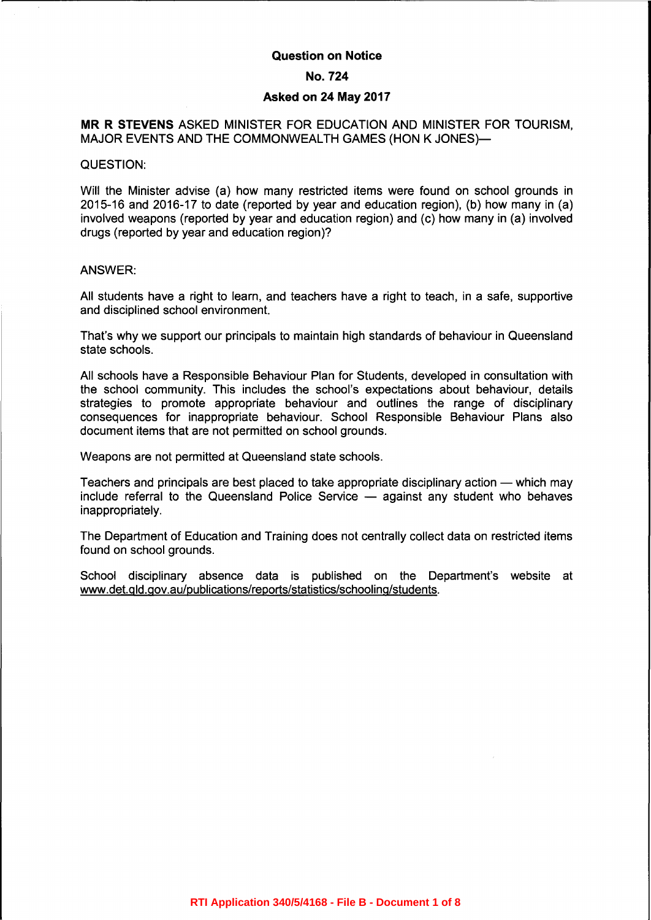## **Question on Notice**

#### **No. 724**

#### **Asked on 24 May 2017**

## **MR R STEVENS** ASKED MINISTER FOR EDUCATION AND MINISTER FOR TOURISM, MAJOR EVENTS AND THE COMMONWEALTH GAMES (HON K JONES)-

#### QUESTION:

Will the Minister advise (a) how many restricted items were found on school grounds in 2015-16 and 2016-17 to date (reported by year and education region), (b) how many in (a) involved weapons (reported by year and education region) and (c) how many in (a) involved drugs (reported by year and education region)?

#### **ANSWER:**

All students have a right to learn, and teachers have a right to teach, in a safe, supportive and disciplined school environment.

That's why we support our principals to maintain high standards of behaviour in Queensland state schools.

All schools have a Responsible Behaviour Plan for Students, developed in consultation with the school community. This includes the school's expectations about behaviour, details strategies to promote appropriate behaviour and outlines the range of disciplinary consequences for inappropriate behaviour. School Responsible Behaviour Plans also document items that are not permitted on school grounds.

Weapons are not permitted at Queensland state schools.

Teachers and principals are best placed to take appropriate disciplinary action - which may  $include$  referral to the Queensland Police Service  $-$  against any student who behaves inappropriately.

The Department of Education and Training does not centrally collect data on restricted items found on school grounds.

School disciplinary absence data is published on the Department's website at www.det.qld.qov.au/publications/reports/statistics/schooling/students.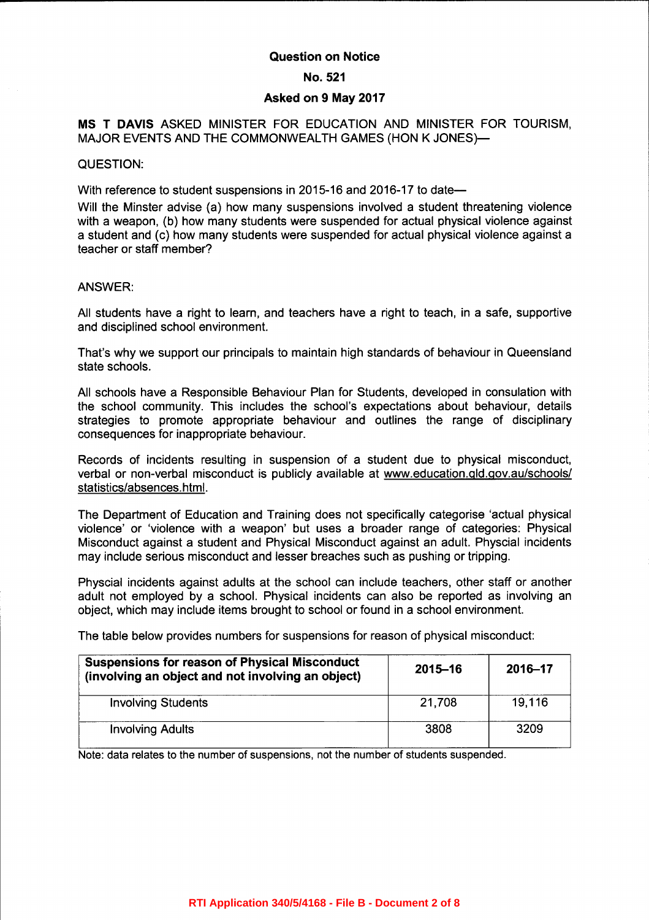# **Question on Notice**

#### **No. 521**

## **Asked on 9 May 2017**

# **MS T DAVIS** ASKED MINISTER FOR EDUCATION AND MINISTER FOR TOURISM, MAJOR EVENTS AND THE COMMONWEALTH GAMES (HON K JONES)-

#### QUESTION:

With reference to student suspensions in 2015-16 and 2016-17 to date-

Will the Minster advise (a) how many suspensions involved a student threatening violence with a weapon, (b) how many students were suspended for actual physical violence against a student and (c) how many students were suspended for actual physical violence against a teacher or staff member?

## **ANSWER:**

All students have a right to learn, and teachers have a right to teach, in a safe, supportive and disciplined school environment.

That's why we support our principals to maintain high standards of behaviour in Queensland state schools.

All schools have a Responsible Behaviour Plan for Students, developed in consulation with the school community. This includes the school's expectations about behaviour, details strategies to promote appropriate behaviour and outlines the range of disciplinary consequences for inappropriate behaviour.

Records of incidents resulting in suspension of a student due to physical misconduct, verbal or non-verbal misconduct is publicly available at www.education.qld.qov.au/schools/ statistics/absences. html.

The Department of Education and Training does not specifically categorise 'actual physical violence' or 'violence with a weapon' but uses a broader range of categories: Physical Misconduct against a student and Physical Misconduct against an adult. Physcial incidents may include serious misconduct and lesser breaches such as pushing or tripping.

Physcial incidents against adults at the school can include teachers, other staff or another adult not employed by a school. Physical incidents can also be reported as involving an object, which may include items brought to school or found in a school environment.

The table below provides numbers for suspensions for reason of physical misconduct:

| <b>Suspensions for reason of Physical Misconduct</b><br>(involving an object and not involving an object) | 2015–16 | 2016-17 |
|-----------------------------------------------------------------------------------------------------------|---------|---------|
| <b>Involving Students</b>                                                                                 | 21,708  | 19.116  |
| <b>Involving Adults</b>                                                                                   | 3808    | 3209    |

Note: data relates to the number of suspensions, not the number of students suspended.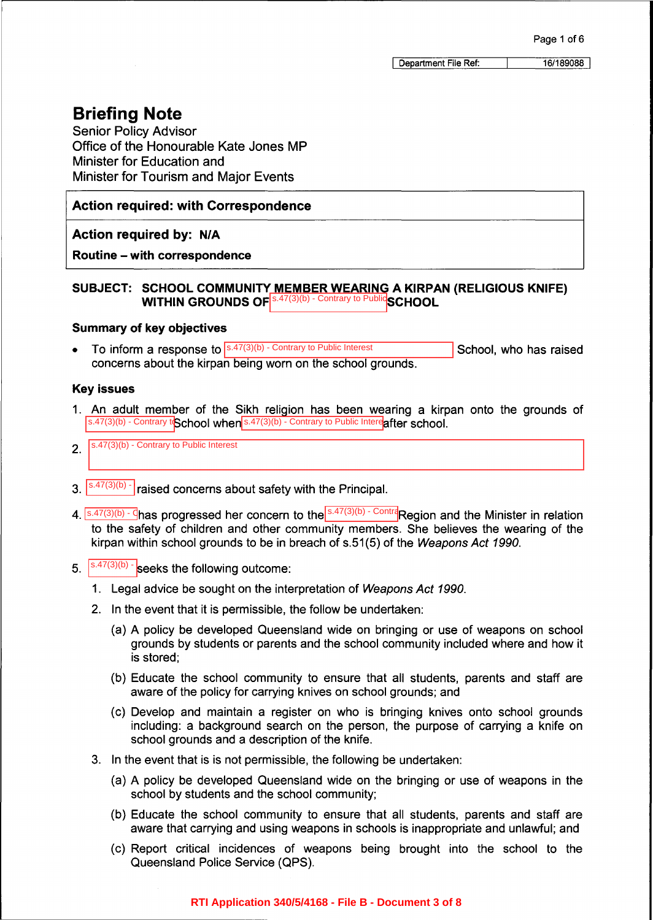Department File Ref: 16/189088

# **Briefing Note**

Senior Policy Advisor Office of the Honourable Kate Jones MP Minister for Education and Minister for Tourism and Major Events

# **Action required: with Correspondence**

**Action required by: N/A** 

**Routine - with correspondence** 

## **SUBJECT: SCHOOL COMMUNITY MEMBER WEARING A KIRPAN (RELIGIOUS KNIFE) WITHIN GROUNDS OF** S.47(3)(b) - Contrary to Public **SCHOOL**

#### **Summary of key objectives**

• To inform a response to  $|s.47(3)|b\rangle$  - Contrary to Public Interest **Supplem School**, who has raised concerns about the kirpan being worn on the school grounds.

#### **Key issues**

- 1. An adult member of the Sikh religion has been wearing a kirpan onto the grounds of s.47(3)(b) - Contrary t**Gchool when** s.47(3)(b) - Contrary to Public Intereafter school.
- 2. s.47(3)(b) - Contrary to Public Interest
- 3.  $s^{(s.47(3)(b) 1)}$  raised concerns about safety with the Principal.
- 4. **S.47(3)(b) · C**has progressed her concern to the S.47(3)(b) · ContraRegion and the Minister in relation to the safety of children and other community members. She believes the wearing of the kirpan within school grounds to be in breach of s.51(5) of the Weapons Act 1990.
- 5.  $\left| \frac{\text{s.47(3)(b)}{\text{seeks}} \right|$  seeks the following outcome:
	- 1. Legal advice be sought on the interpretation of Weapons Act 1990.
	- 2. In the event that it is permissible, the follow be undertaken:
		- (a) A policy be developed Queensland wide on bringing or use of weapons on school grounds by students or parents and the school community included where and how it is stored;
		- (b) Educate the school community to ensure that all students, parents and staff are aware of the policy for carrying knives on school grounds; and
		- (c) Develop and maintain a register on who is bringing knives onto school grounds including: a background search on the person, the purpose of carrying a knife on school grounds and a description of the knife.
	- 3. In the event that is is not permissible, the following be undertaken:
		- (a) A policy be developed Queensland wide on the bringing or use of weapons in the school by students and the school community;
		- (b) Educate the school community to ensure that all students, parents and staff are aware that carrying and using weapons in schools is inappropriate and unlawful; and
		- (c) Report critical incidences of weapons being brought into the school to the Queensland Police Service (QPS).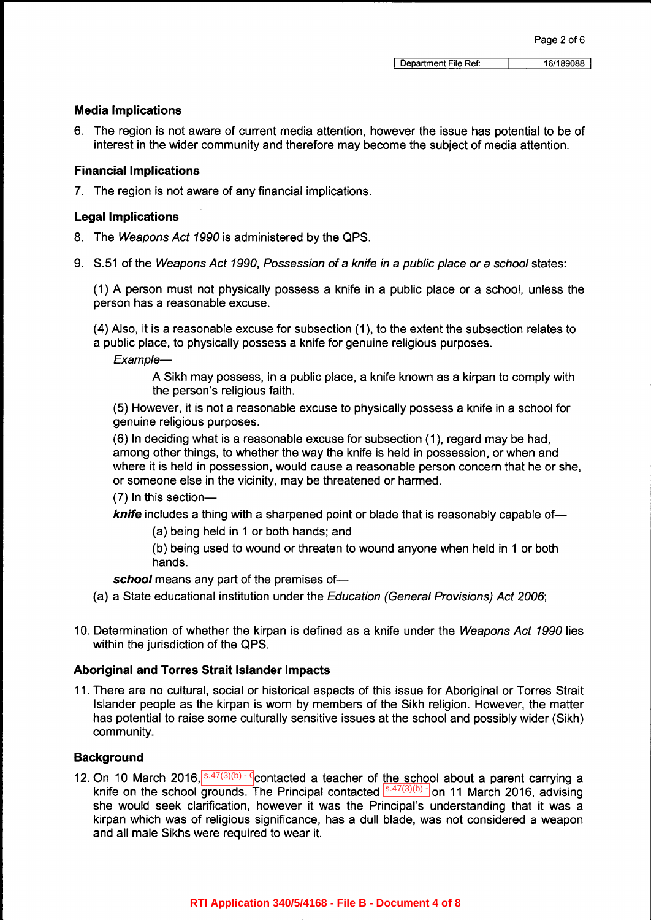#### **Media Implications**

6. The region is not aware of current media attention, however the issue has potential to be of interest in the wider community and therefore may become the subject of media attention.

## **Financial Implications**

7. The region is not aware of any financial implications.

## **Legal Implications**

- 8. The Weapons Act 1990 is administered by the QPS.
- 9. S.51 of the Weapons Act 1990, Possession of a knife in a public place or a school states:

(1) A person must not physically possess a knife in a public place or a school, unless the person has a reasonable excuse.

(4) Also, it is a reasonable excuse for subsection (1 ), to the extent the subsection relates to a public place, to physically possess a knife for genuine religious purposes.

Example-

A Sikh may possess, in a public place, a knife known as a kirpan to comply with the person's religious faith.

(5) However, it is not a reasonable excuse to physically possess a knife in a school for genuine religious purposes.

(6) In deciding what is a reasonable excuse for subsection (1 ), regard may be had, among other things, to whether the way the knife is held in possession, or when and where it is held in possession, would cause a reasonable person concern that he or she, or someone else in the vicinity, may be threatened or harmed.

 $(7)$  In this section-

**knife** includes a thing with a sharpened point or blade that is reasonably capable of-

(a) being held in 1 or both hands; and

(b) being used to wound or threaten to wound anyone when held in 1 or both hands.

**school** means any part of the premises of-

- (a) a State educational institution under the Education (General Provisions) Act 2006;
- 10. Determination of whether the kirpan is defined as a knife under the Weapons Act 1990 lies within the jurisdiction of the QPS.

#### **Aboriginal and Torres Strait Islander Impacts**

11. There are no cultural, social or historical aspects of this issue for Aboriginal or Torres Strait Islander people as the kirpan is worn by members of the Sikh religion. However, the matter has potential to raise some culturally sensitive issues at the school and possibly wider (Sikh) community.

# **Background**

12. On 10 March 2016, s.47(3)(b) Gontacted a teacher of the school about a parent carrying a knife on the school grounds. The Principal contacted *S.47(3)(b)* on 11 March 2016, advising she would seek clarification, however it was the Principal's understanding that it was a kirpan which was of religious significance, has a dull blade, was not considered a weapon and all male Sikhs were required to wear it.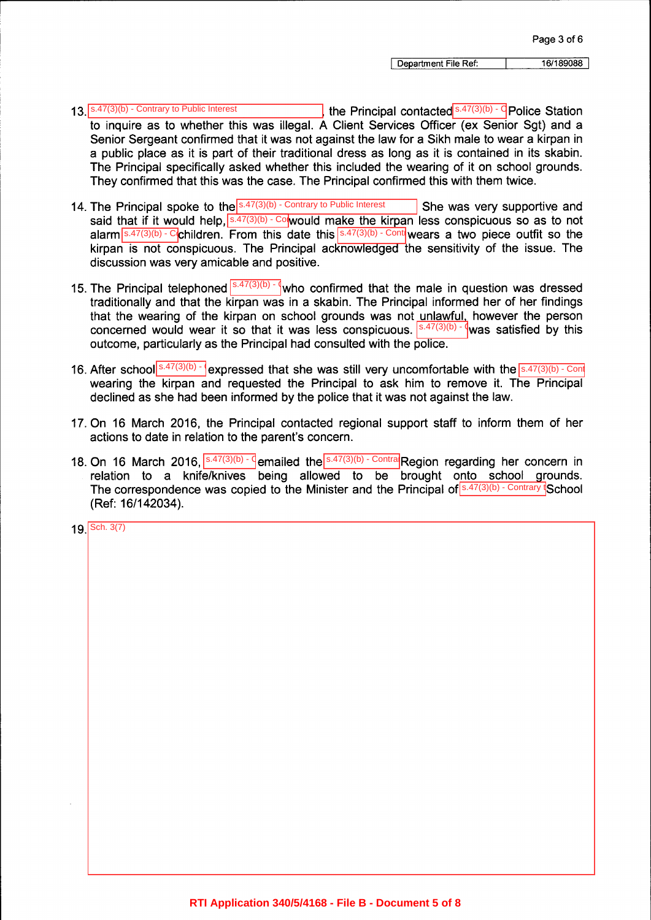Department File Ref: 16/189088

- 13. S.47(3)(b) Contrary to Public Interest **Station the Principal contacted** S.47(3)(b) C **Police Station** to inquire as to whether this was illegal. A Client Services Officer (ex Senior Sgt) and a Senior Sergeant confirmed that it was not against the law for a Sikh male to wear a kirpan in a public place as it is part of their traditional dress as long as it is contained in its skabin. The Principal specifically asked whether this included the wearing of it on school grounds. They confirmed that this was the case. The Principal confirmed this with them twice.
- 14. The Principal spoke to the  $s.47(3)(b)$  Contrary to Public Interest Same She was very supportive and said that if it would help, **s.47(3)(b)** - Co<mark>would make the kirpan less conspicuous so as to not</mark> alarm s.47(3)(b) - Contildren. From this date this s.47(3)(b) - Cont wears a two piece outfit so the kirpan is not conspicuous. The Principal acknowledged the sensitivity of the issue. The discussion was very amicable and positive.
- 15. The Principal telephoned  $s^{(3,47(3)(b) q)}$  who confirmed that the male in question was dressed traditionally and that the kirpan was in a skabin. The Principal informed her of her findings that the wearing of the kirpan on school grounds was not unlawful, however the person concerned would wear it so that it was less conspicuous.  $s^{(s.47(3)(b) - 1)}$  was satisfied by this outcome, particularly as the Principal had consulted with the police.
- 16. After school  $s^{(47(3)(b) 1)}$  expressed that she was still very uncomfortable with the  $s^{(47(3)(b) \text{Conf}}$ wearing the kirpan and requested the Principal to ask him to remove it. The Principal declined as she had been informed by the police that it was not against the law.
- 17. On 16 March 2016, the Principal contacted regional support staff to inform them of her actions to date in relation to the parent's concern.
- 18. On 16 March 2016, S.47(3)(b) · Contailed the S.47(3)(b) · Contra Region regarding her concern in relation to a knife/knives being allowed to be brought onto school grounds. The correspondence was copied to the Minister and the Principal of S.47(3)(b) - Contrary School (Ref: 16/142034).

19. Sch. 3(7)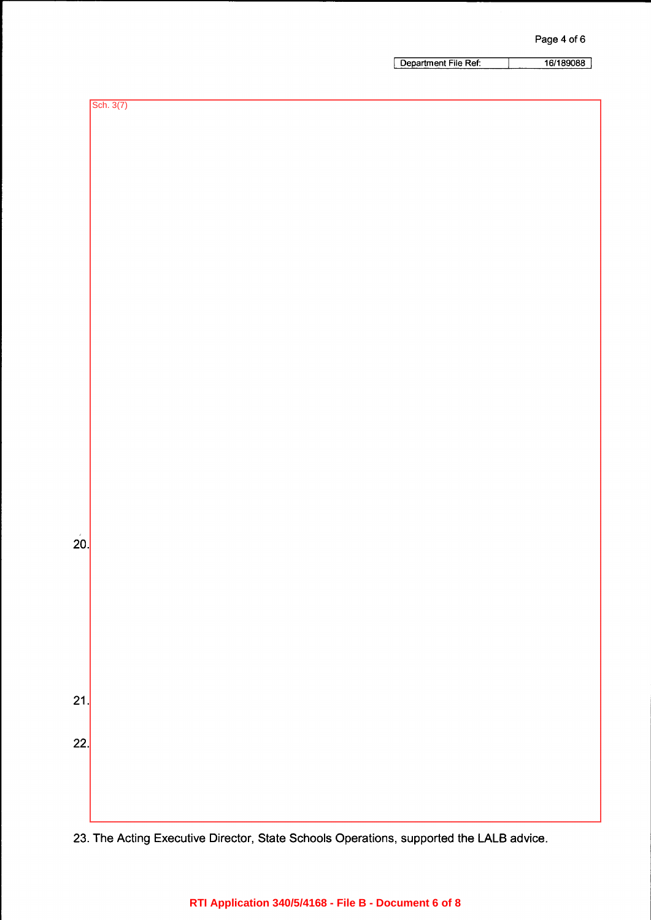| Page 4 of 6 |  |  |  |  |
|-------------|--|--|--|--|
|-------------|--|--|--|--|

Department File Ref: 16/189088

 $\boxed{\mathsf{Sch. 3(7)}}$ 



**RTI Application 340/5/4168 - File B - Document 6 of 8**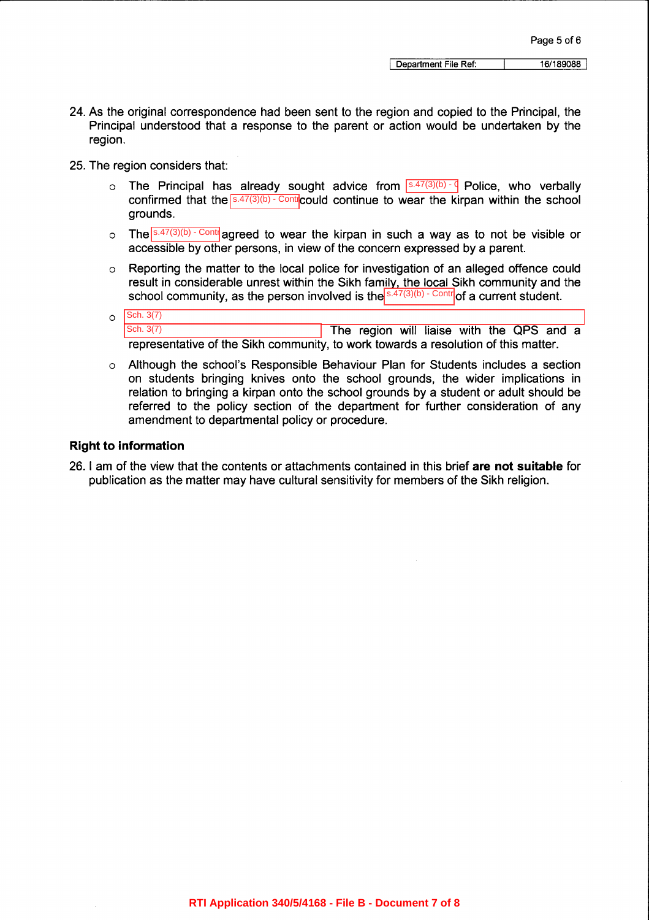- 24. As the original correspondence had been sent to the region and copied to the Principal, the Principal understood that a response to the parent or action would be undertaken by the region.
- 25. The region considers that:
	- o The Principal has already sought advice from **S.47(3)(b)**-C Police, who verbally confirmed that the *s.47(3)(b) - Contr*could continue to wear the kirpan within the school grounds.
	- o The S.47(3)(b) Contragreed to wear the kirpan in such a way as to not be visible or accessible by other persons, in view of the concern expressed by a parent.
	- o Reporting the matter to the local police for investigation of an alleged offence could result in considerable unrest within the Sikh family, the local Sikh community and the school community, as the person involved is the s.47(3)(b) - Control a current student.
	- o The region will liaise with the QPS and a representative of the Sikh community, to work towards a resolution of this matter. Sch. 3(7) Sch. 3(7)
	- o Although the school's Responsible Behaviour Plan for Students includes a section on students bringing knives onto the school grounds, the wider implications in relation to bringing a kirpan onto the school grounds by a student or adult should be referred to the policy section of the department for further consideration of any amendment to departmental policy or procedure.

#### **Right to information**

26. I am of the view that the contents or attachments contained in this brief **are not suitable** for publication as the matter may have cultural sensitivity for members of the Sikh religion.